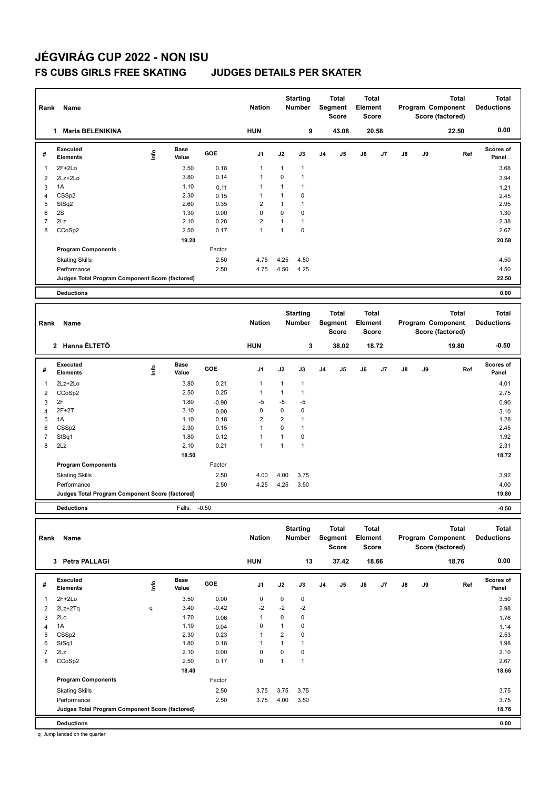### **FS CUBS GIRLS FREE SKATING JUDGES DETAILS PER SKATER**

| Rank           | Name                                            |      |                      |         | <b>Nation</b>  |                | <b>Starting</b><br><b>Number</b> |                | <b>Total</b><br>Segment<br><b>Score</b>        | <b>Total</b><br>Element<br><b>Score</b> |       |    |    | <b>Total</b><br>Program Component<br>Score (factored) | <b>Total</b><br><b>Deductions</b> |
|----------------|-------------------------------------------------|------|----------------------|---------|----------------|----------------|----------------------------------|----------------|------------------------------------------------|-----------------------------------------|-------|----|----|-------------------------------------------------------|-----------------------------------|
|                | 1 Maria BELENIKINA                              |      |                      |         | <b>HUN</b>     |                | 9                                |                | 43.08                                          |                                         | 20.58 |    |    | 22.50                                                 | 0.00                              |
| #              | Executed<br><b>Elements</b>                     | ١nf٥ | Base<br>Value        | GOE     | J1             | J2             | J3                               | J <sub>4</sub> | J5                                             | J6                                      | J7    | J8 | J9 | Ref                                                   | Scores of<br>Panel                |
| $\mathbf{1}$   | $2F+2Lo$                                        |      | 3.50                 | 0.18    | 1              | $\mathbf{1}$   | $\mathbf{1}$                     |                |                                                |                                         |       |    |    |                                                       | 3.68                              |
| $\overline{2}$ | $2Lz + 2Lo$                                     |      | 3.80                 | 0.14    | $\mathbf{1}$   | $\mathbf 0$    | 1                                |                |                                                |                                         |       |    |    |                                                       | 3.94                              |
| 3              | 1A                                              |      | 1.10                 | 0.11    | 1              | 1              | $\mathbf{1}$                     |                |                                                |                                         |       |    |    |                                                       | 1.21                              |
| $\overline{4}$ | CSS <sub>p2</sub>                               |      | 2.30                 | 0.15    | 1              | 1              | 0                                |                |                                                |                                         |       |    |    |                                                       | 2.45                              |
| 5              | StSq2                                           |      | 2.60                 | 0.35    | $\overline{2}$ | $\mathbf{1}$   | 1                                |                |                                                |                                         |       |    |    |                                                       | 2.95                              |
| 6              | 2S                                              |      | 1.30                 | 0.00    | $\pmb{0}$      | $\mathbf 0$    | 0                                |                |                                                |                                         |       |    |    |                                                       | 1.30                              |
| $\overline{7}$ | 2Lz                                             |      | 2.10                 | 0.28    | $\overline{2}$ | $\mathbf{1}$   | $\mathbf{1}$                     |                |                                                |                                         |       |    |    |                                                       | 2.38                              |
| 8              | CCoSp2                                          |      | 2.50                 | 0.17    | $\mathbf{1}$   | $\mathbf{1}$   | $\mathbf 0$                      |                |                                                |                                         |       |    |    |                                                       | 2.67                              |
|                |                                                 |      | 19.20                |         |                |                |                                  |                |                                                |                                         |       |    |    |                                                       | 20.58                             |
|                | <b>Program Components</b>                       |      |                      | Factor  |                |                |                                  |                |                                                |                                         |       |    |    |                                                       |                                   |
|                | <b>Skating Skills</b>                           |      |                      | 2.50    | 4.75           | 4.25           | 4.50                             |                |                                                |                                         |       |    |    |                                                       | 4.50                              |
|                | Performance                                     |      |                      | 2.50    | 4.75           | 4.50           | 4.25                             |                |                                                |                                         |       |    |    |                                                       | 4.50                              |
|                | Judges Total Program Component Score (factored) |      |                      |         |                |                |                                  |                |                                                |                                         |       |    |    |                                                       | 22.50                             |
|                | <b>Deductions</b>                               |      |                      |         |                |                |                                  |                |                                                |                                         |       |    |    |                                                       | 0.00                              |
|                |                                                 |      |                      |         |                |                |                                  |                |                                                |                                         |       |    |    |                                                       |                                   |
|                |                                                 |      |                      |         |                |                | <b>Starting</b>                  |                | <b>Total</b>                                   | <b>Total</b>                            |       |    |    | <b>Total</b>                                          | <b>Total</b>                      |
| Rank           | Name                                            |      |                      |         | <b>Nation</b>  |                | <b>Number</b>                    |                | Segment                                        | Element                                 |       |    |    | Program Component                                     | <b>Deductions</b>                 |
|                |                                                 |      |                      |         |                |                |                                  |                | <b>Score</b>                                   | <b>Score</b>                            |       |    |    | Score (factored)                                      |                                   |
|                | 2 Hanna ÉLTETÕ                                  |      |                      |         | <b>HUN</b>     |                | 3                                |                | 38.02                                          |                                         | 18.72 |    |    | 19.80                                                 | $-0.50$                           |
|                |                                                 |      |                      |         |                |                |                                  |                |                                                |                                         |       |    |    |                                                       |                                   |
| #              | Executed<br><b>Elements</b>                     | lnfo | <b>Base</b><br>Value | GOE     | J1             | J2             | J3                               | J <sub>4</sub> | J5                                             | J6                                      | J7    | J8 | J9 | Ref                                                   | Scores of<br>Panel                |
| 1              | 2Lz+2Lo                                         |      | 3.80                 | 0.21    | $\mathbf{1}$   | 1              | $\mathbf{1}$                     |                |                                                |                                         |       |    |    |                                                       | 4.01                              |
| $\overline{2}$ | CCoSp2                                          |      | 2.50                 | 0.25    | $\mathbf{1}$   | 1              | 1                                |                |                                                |                                         |       |    |    |                                                       | 2.75                              |
| 3              | 2F                                              |      | 1.80                 | $-0.90$ | -5             | -5             | -5                               |                |                                                |                                         |       |    |    |                                                       | 0.90                              |
| $\overline{4}$ | $2F+2T$                                         |      | 3.10                 | 0.00    | 0              | $\mathbf 0$    | 0                                |                |                                                |                                         |       |    |    |                                                       | 3.10                              |
| 5              | 1A                                              |      | 1.10                 | 0.18    | $\overline{2}$ | $\overline{2}$ | $\mathbf{1}$                     |                |                                                |                                         |       |    |    |                                                       | 1.28                              |
| 6              | CSS <sub>p2</sub>                               |      | 2.30                 | 0.15    | 1              | $\mathbf 0$    | $\mathbf{1}$                     |                |                                                |                                         |       |    |    |                                                       | 2.45                              |
| $\overline{7}$ | StSq1                                           |      | 1.80                 | 0.12    | $\mathbf{1}$   | $\mathbf{1}$   | 0                                |                |                                                |                                         |       |    |    |                                                       | 1.92                              |
| 8              | 2Lz                                             |      | 2.10                 | 0.21    | $\mathbf{1}$   | $\mathbf{1}$   | $\mathbf{1}$                     |                |                                                |                                         |       |    |    |                                                       | 2.31                              |
|                |                                                 |      | 18.50                |         |                |                |                                  |                |                                                |                                         |       |    |    |                                                       | 18.72                             |
|                | <b>Program Components</b>                       |      |                      | Factor  |                |                |                                  |                |                                                |                                         |       |    |    |                                                       |                                   |
|                | <b>Skating Skills</b>                           |      |                      | 2.50    | 4.00           | 4.00           | 3.75                             |                |                                                |                                         |       |    |    |                                                       | 3.92                              |
|                | Performance                                     |      |                      | 2.50    | 4.25           | 4.25           | 3.50                             |                |                                                |                                         |       |    |    |                                                       | 4.00                              |
|                | Judges Total Program Component Score (factored) |      |                      |         |                |                |                                  |                |                                                |                                         |       |    |    |                                                       | 19.80                             |
|                | <b>Deductions</b>                               |      | Falls:               | $-0.50$ |                |                |                                  |                |                                                |                                         |       |    |    |                                                       | $-0.50$                           |
|                |                                                 |      |                      |         |                |                |                                  |                |                                                |                                         |       |    |    |                                                       |                                   |
| Rank           | Name                                            |      |                      |         | <b>Nation</b>  |                | <b>Starting</b><br><b>Number</b> |                | <b>Total</b><br><b>Segment</b><br><b>Score</b> | <b>Total</b><br>Element<br><b>Score</b> |       |    |    | <b>Total</b><br>Program Component<br>Score (factored) | <b>Total</b><br><b>Deductions</b> |
|                | <b>Petra PALLAGI</b><br>3                       |      |                      |         | <b>HUN</b>     |                | 13                               |                | 37.42                                          |                                         | 18.66 |    |    | 18.76                                                 | 0.00                              |

|   | .                                               |      |               |         | .              |      |      |                |    |    |                |               |    |     |                    |  |
|---|-------------------------------------------------|------|---------------|---------|----------------|------|------|----------------|----|----|----------------|---------------|----|-----|--------------------|--|
| # | <b>Executed</b><br><b>Elements</b>              | ١nto | Base<br>Value | GOE     | J <sub>1</sub> | J2   | J3   | J <sub>4</sub> | J5 | J6 | J <sub>7</sub> | $\mathsf{J}8$ | J9 | Ref | Scores of<br>Panel |  |
| 1 | $2F+2Lo$                                        |      | 3.50          | 0.00    | 0              | 0    | 0    |                |    |    |                |               |    |     | 3.50               |  |
| 2 | $2Lz + 2Tq$                                     | q    | 3.40          | $-0.42$ | $-2$           | $-2$ | $-2$ |                |    |    |                |               |    |     | 2.98               |  |
| 3 | 2Lo                                             |      | 1.70          | 0.06    | $\mathbf{1}$   | 0    | 0    |                |    |    |                |               |    |     | 1.76               |  |
| 4 | 1A                                              |      | 1.10          | 0.04    | 0              |      | 0    |                |    |    |                |               |    |     | 1.14               |  |
| 5 | CSS <sub>p2</sub>                               |      | 2.30          | 0.23    | 1              | 2    | 0    |                |    |    |                |               |    |     | 2.53               |  |
| 6 | StSq1                                           |      | 1.80          | 0.18    | 1              |      |      |                |    |    |                |               |    |     | 1.98               |  |
| 7 | 2Lz                                             |      | 2.10          | 0.00    | 0              | 0    | 0    |                |    |    |                |               |    |     | 2.10               |  |
| 8 | CCoSp2                                          |      | 2.50          | 0.17    | 0              |      |      |                |    |    |                |               |    |     | 2.67               |  |
|   |                                                 |      | 18.40         |         |                |      |      |                |    |    |                |               |    |     | 18.66              |  |
|   | <b>Program Components</b>                       |      |               | Factor  |                |      |      |                |    |    |                |               |    |     |                    |  |
|   | <b>Skating Skills</b>                           |      |               | 2.50    | 3.75           | 3.75 | 3.75 |                |    |    |                |               |    |     | 3.75               |  |
|   | Performance                                     |      |               | 2.50    | 3.75           | 4.00 | 3.50 |                |    |    |                |               |    |     | 3.75               |  |
|   | Judges Total Program Component Score (factored) |      |               |         |                |      |      |                |    |    |                |               |    |     | 18.76              |  |
|   | <b>Deductions</b>                               |      |               |         |                |      |      |                |    |    |                |               |    |     | 0.00               |  |

q Jump landed on the quarter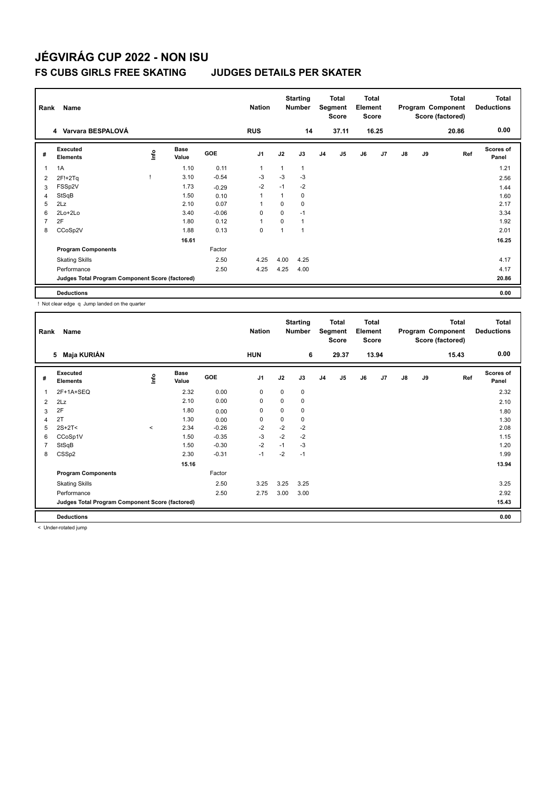### **FS CUBS GIRLS FREE SKATING JUDGES DETAILS PER SKATER**

| Rank           | Name                                            |      |                      |         | <b>Nation</b>  |      | <b>Starting</b><br><b>Number</b> |                | Total<br>Segment<br><b>Score</b> | <b>Total</b><br>Element<br>Score |                |               |    | Total<br>Program Component<br>Score (factored) | Total<br><b>Deductions</b> |
|----------------|-------------------------------------------------|------|----------------------|---------|----------------|------|----------------------------------|----------------|----------------------------------|----------------------------------|----------------|---------------|----|------------------------------------------------|----------------------------|
|                | 4 Varvara BESPALOVÁ                             |      |                      |         | <b>RUS</b>     |      | 14                               |                | 37.11                            |                                  | 16.25          |               |    | 20.86                                          | 0.00                       |
| #              | Executed<br><b>Elements</b>                     | lnfo | <b>Base</b><br>Value | GOE     | J <sub>1</sub> | J2   | J3                               | J <sub>4</sub> | J5                               | J6                               | J <sub>7</sub> | $\mathsf{J}8$ | J9 | Ref                                            | Scores of<br>Panel         |
| 1              | 1A                                              |      | 1.10                 | 0.11    | $\mathbf 1$    | 1    | 1                                |                |                                  |                                  |                |               |    |                                                | 1.21                       |
| $\overline{2}$ | $2F!+2Tq$                                       |      | 3.10                 | $-0.54$ | $-3$           | $-3$ | $-3$                             |                |                                  |                                  |                |               |    |                                                | 2.56                       |
| 3              | FSSp2V                                          |      | 1.73                 | $-0.29$ | $-2$           | $-1$ | $-2$                             |                |                                  |                                  |                |               |    |                                                | 1.44                       |
| 4              | StSqB                                           |      | 1.50                 | 0.10    | $\overline{1}$ | 1    | 0                                |                |                                  |                                  |                |               |    |                                                | 1.60                       |
| 5              | 2Lz                                             |      | 2.10                 | 0.07    |                | 0    | 0                                |                |                                  |                                  |                |               |    |                                                | 2.17                       |
| 6              | 2Lo+2Lo                                         |      | 3.40                 | $-0.06$ | 0              | 0    | $-1$                             |                |                                  |                                  |                |               |    |                                                | 3.34                       |
| 7              | 2F                                              |      | 1.80                 | 0.12    | $\mathbf{1}$   | 0    | 1                                |                |                                  |                                  |                |               |    |                                                | 1.92                       |
| 8              | CCoSp2V                                         |      | 1.88                 | 0.13    | $\mathbf 0$    | 1    |                                  |                |                                  |                                  |                |               |    |                                                | 2.01                       |
|                |                                                 |      | 16.61                |         |                |      |                                  |                |                                  |                                  |                |               |    |                                                | 16.25                      |
|                | <b>Program Components</b>                       |      |                      | Factor  |                |      |                                  |                |                                  |                                  |                |               |    |                                                |                            |
|                | <b>Skating Skills</b>                           |      |                      | 2.50    | 4.25           | 4.00 | 4.25                             |                |                                  |                                  |                |               |    |                                                | 4.17                       |
|                | Performance                                     |      |                      | 2.50    | 4.25           | 4.25 | 4.00                             |                |                                  |                                  |                |               |    |                                                | 4.17                       |
|                | Judges Total Program Component Score (factored) |      |                      |         |                |      |                                  |                |                                  |                                  |                |               |    |                                                | 20.86                      |
|                | <b>Deductions</b>                               |      |                      |         |                |      |                                  |                |                                  |                                  |                |               |    |                                                | 0.00                       |

! Not clear edge q Jump landed on the quarter

| Rank | Name                                            |             |                      |         | <b>Nation</b>  |      | <b>Starting</b><br><b>Number</b> |                | Total<br>Segment<br><b>Score</b> | Total<br>Element<br><b>Score</b> |       |               |    | <b>Total</b><br>Program Component<br>Score (factored) | Total<br><b>Deductions</b> |
|------|-------------------------------------------------|-------------|----------------------|---------|----------------|------|----------------------------------|----------------|----------------------------------|----------------------------------|-------|---------------|----|-------------------------------------------------------|----------------------------|
|      | Maja KURIÁN<br>5                                |             |                      |         | <b>HUN</b>     |      | 6                                |                | 29.37                            |                                  | 13.94 |               |    | 15.43                                                 | 0.00                       |
| #    | Executed<br><b>Elements</b>                     | <u>info</u> | <b>Base</b><br>Value | GOE     | J <sub>1</sub> | J2   | J3                               | J <sub>4</sub> | J5                               | J6                               | J7    | $\mathsf{J}8$ | J9 | Ref                                                   | <b>Scores of</b><br>Panel  |
|      | 2F+1A+SEQ                                       |             | 2.32                 | 0.00    | 0              | 0    | 0                                |                |                                  |                                  |       |               |    |                                                       | 2.32                       |
| 2    | 2Lz                                             |             | 2.10                 | 0.00    | 0              | 0    | 0                                |                |                                  |                                  |       |               |    |                                                       | 2.10                       |
| 3    | 2F                                              |             | 1.80                 | 0.00    | 0              | 0    | 0                                |                |                                  |                                  |       |               |    |                                                       | 1.80                       |
| 4    | 2T                                              |             | 1.30                 | 0.00    | 0              | 0    | 0                                |                |                                  |                                  |       |               |    |                                                       | 1.30                       |
| 5    | $2S+2T2$                                        | $\,<\,$     | 2.34                 | $-0.26$ | $-2$           | $-2$ | $-2$                             |                |                                  |                                  |       |               |    |                                                       | 2.08                       |
| 6    | CCoSp1V                                         |             | 1.50                 | $-0.35$ | -3             | $-2$ | $-2$                             |                |                                  |                                  |       |               |    |                                                       | 1.15                       |
| 7    | StSqB                                           |             | 1.50                 | $-0.30$ | $-2$           | $-1$ | $-3$                             |                |                                  |                                  |       |               |    |                                                       | 1.20                       |
| 8    | CSSp2                                           |             | 2.30                 | $-0.31$ | $-1$           | $-2$ | $-1$                             |                |                                  |                                  |       |               |    |                                                       | 1.99                       |
|      |                                                 |             | 15.16                |         |                |      |                                  |                |                                  |                                  |       |               |    |                                                       | 13.94                      |
|      | <b>Program Components</b>                       |             |                      | Factor  |                |      |                                  |                |                                  |                                  |       |               |    |                                                       |                            |
|      | <b>Skating Skills</b>                           |             |                      | 2.50    | 3.25           | 3.25 | 3.25                             |                |                                  |                                  |       |               |    |                                                       | 3.25                       |
|      | Performance                                     |             |                      | 2.50    | 2.75           | 3.00 | 3.00                             |                |                                  |                                  |       |               |    |                                                       | 2.92                       |
|      | Judges Total Program Component Score (factored) |             |                      |         |                |      |                                  |                |                                  |                                  |       |               |    |                                                       | 15.43                      |
|      | <b>Deductions</b>                               |             |                      |         |                |      |                                  |                |                                  |                                  |       |               |    |                                                       | 0.00                       |

< Under-rotated jump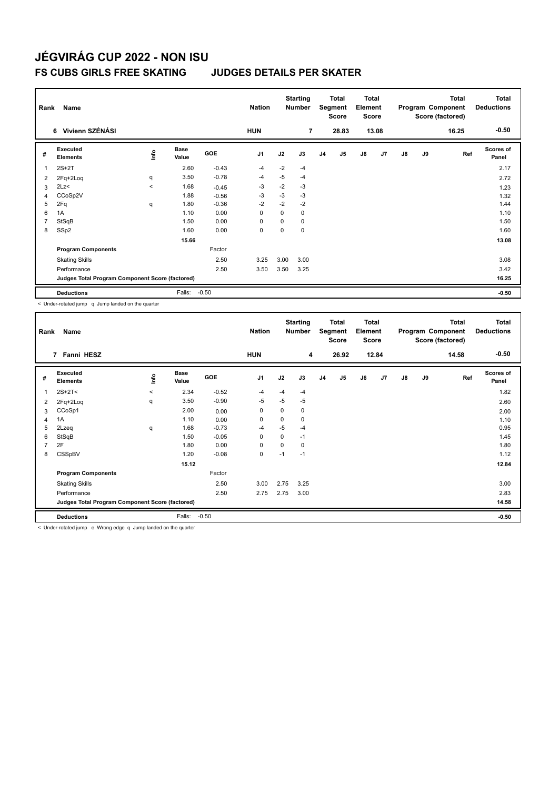### **FS CUBS GIRLS FREE SKATING JUDGES DETAILS PER SKATER**

| Rank           | Name                                            |         |                      |            | <b>Nation</b>  |      | <b>Starting</b><br><b>Number</b> |                | Total<br>Segment<br><b>Score</b> | <b>Total</b><br>Element<br><b>Score</b> |       |               |    | <b>Total</b><br>Program Component<br>Score (factored) | Total<br><b>Deductions</b> |
|----------------|-------------------------------------------------|---------|----------------------|------------|----------------|------|----------------------------------|----------------|----------------------------------|-----------------------------------------|-------|---------------|----|-------------------------------------------------------|----------------------------|
|                | 6 Vivienn SZÉNÁSI                               |         |                      |            | <b>HUN</b>     |      | 7                                |                | 28.83                            |                                         | 13.08 |               |    | 16.25                                                 | $-0.50$                    |
| #              | Executed<br><b>Elements</b>                     | ١nf٥    | <b>Base</b><br>Value | <b>GOE</b> | J <sub>1</sub> | J2   | J3                               | J <sub>4</sub> | J <sub>5</sub>                   | J6                                      | J7    | $\mathsf{J}8$ | J9 | Ref                                                   | <b>Scores of</b><br>Panel  |
| 1              | $2S+2T$                                         |         | 2.60                 | $-0.43$    | $-4$           | $-2$ | $-4$                             |                |                                  |                                         |       |               |    |                                                       | 2.17                       |
| 2              | 2Fq+2Loq                                        | q       | 3.50                 | $-0.78$    | -4             | $-5$ | $-4$                             |                |                                  |                                         |       |               |    |                                                       | 2.72                       |
| 3              | 2Lz<                                            | $\prec$ | 1.68                 | $-0.45$    | $-3$           | $-2$ | $-3$                             |                |                                  |                                         |       |               |    |                                                       | 1.23                       |
| $\overline{4}$ | CCoSp2V                                         |         | 1.88                 | $-0.56$    | $-3$           | $-3$ | $-3$                             |                |                                  |                                         |       |               |    |                                                       | 1.32                       |
| 5              | 2Fq                                             | q       | 1.80                 | $-0.36$    | $-2$           | $-2$ | $-2$                             |                |                                  |                                         |       |               |    |                                                       | 1.44                       |
| 6              | 1A                                              |         | 1.10                 | 0.00       | 0              | 0    | 0                                |                |                                  |                                         |       |               |    |                                                       | 1.10                       |
| $\overline{7}$ | StSqB                                           |         | 1.50                 | 0.00       | 0              | 0    | 0                                |                |                                  |                                         |       |               |    |                                                       | 1.50                       |
| 8              | SSp2                                            |         | 1.60                 | 0.00       | $\mathbf 0$    | 0    | 0                                |                |                                  |                                         |       |               |    |                                                       | 1.60                       |
|                |                                                 |         | 15.66                |            |                |      |                                  |                |                                  |                                         |       |               |    |                                                       | 13.08                      |
|                | <b>Program Components</b>                       |         |                      | Factor     |                |      |                                  |                |                                  |                                         |       |               |    |                                                       |                            |
|                | <b>Skating Skills</b>                           |         |                      | 2.50       | 3.25           | 3.00 | 3.00                             |                |                                  |                                         |       |               |    |                                                       | 3.08                       |
|                | Performance                                     |         |                      | 2.50       | 3.50           | 3.50 | 3.25                             |                |                                  |                                         |       |               |    |                                                       | 3.42                       |
|                | Judges Total Program Component Score (factored) |         |                      |            |                |      |                                  |                |                                  |                                         |       |               |    |                                                       | 16.25                      |
|                | <b>Deductions</b>                               |         | Falls:               | $-0.50$    |                |      |                                  |                |                                  |                                         |       |               |    |                                                       | $-0.50$                    |

< Under-rotated jump q Jump landed on the quarter

| Rank | Name                                            |         | <b>Nation</b>        |         | <b>Starting</b><br><b>Number</b> |             | <b>Total</b><br>Segment<br><b>Score</b> | <b>Total</b><br>Element<br><b>Score</b> |       |    |       | <b>Total</b><br>Program Component<br>Score (factored) | <b>Total</b><br><b>Deductions</b> |       |                           |
|------|-------------------------------------------------|---------|----------------------|---------|----------------------------------|-------------|-----------------------------------------|-----------------------------------------|-------|----|-------|-------------------------------------------------------|-----------------------------------|-------|---------------------------|
|      | 7 Fanni HESZ                                    |         |                      |         | <b>HUN</b>                       |             | 4                                       |                                         | 26.92 |    | 12.84 |                                                       |                                   | 14.58 | $-0.50$                   |
| #    | Executed<br><b>Elements</b>                     | Life    | <b>Base</b><br>Value | GOE     | J <sub>1</sub>                   | J2          | J3                                      | J <sub>4</sub>                          | J5    | J6 | J7    | $\mathsf{J}8$                                         | J9                                | Ref   | <b>Scores of</b><br>Panel |
|      | $2S+2T<$                                        | $\prec$ | 2.34                 | $-0.52$ | $-4$                             | $-4$        | $-4$                                    |                                         |       |    |       |                                                       |                                   |       | 1.82                      |
| 2    | 2Fq+2Loq                                        | q       | 3.50                 | $-0.90$ | $-5$                             | $-5$        | $-5$                                    |                                         |       |    |       |                                                       |                                   |       | 2.60                      |
| 3    | CCoSp1                                          |         | 2.00                 | 0.00    | 0                                | 0           | 0                                       |                                         |       |    |       |                                                       |                                   |       | 2.00                      |
| 4    | 1A                                              |         | 1.10                 | 0.00    | $\mathbf 0$                      | $\mathbf 0$ | 0                                       |                                         |       |    |       |                                                       |                                   |       | 1.10                      |
| 5    | 2Lzeq                                           | q       | 1.68                 | $-0.73$ | $-4$                             | $-5$        | $-4$                                    |                                         |       |    |       |                                                       |                                   |       | 0.95                      |
| 6    | StSqB                                           |         | 1.50                 | $-0.05$ | $\mathbf 0$                      | $\Omega$    | $-1$                                    |                                         |       |    |       |                                                       |                                   |       | 1.45                      |
| 7    | 2F                                              |         | 1.80                 | 0.00    | $\mathbf 0$                      | $\mathbf 0$ | 0                                       |                                         |       |    |       |                                                       |                                   |       | 1.80                      |
| 8    | CSSpBV                                          |         | 1.20                 | $-0.08$ | 0                                | $-1$        | $-1$                                    |                                         |       |    |       |                                                       |                                   |       | 1.12                      |
|      |                                                 |         | 15.12                |         |                                  |             |                                         |                                         |       |    |       |                                                       |                                   |       | 12.84                     |
|      | <b>Program Components</b>                       |         |                      | Factor  |                                  |             |                                         |                                         |       |    |       |                                                       |                                   |       |                           |
|      | <b>Skating Skills</b>                           |         |                      | 2.50    | 3.00                             | 2.75        | 3.25                                    |                                         |       |    |       |                                                       |                                   |       | 3.00                      |
|      | Performance                                     |         |                      | 2.50    | 2.75                             | 2.75        | 3.00                                    |                                         |       |    |       |                                                       |                                   |       | 2.83                      |
|      | Judges Total Program Component Score (factored) |         |                      |         |                                  |             |                                         |                                         |       |    |       |                                                       |                                   |       | 14.58                     |
|      | <b>Deductions</b>                               |         | Falls:               | $-0.50$ |                                  |             |                                         |                                         |       |    |       |                                                       |                                   |       | $-0.50$                   |
|      |                                                 |         |                      |         |                                  |             |                                         |                                         |       |    |       |                                                       |                                   |       |                           |

< Under-rotated jump e Wrong edge q Jump landed on the quarter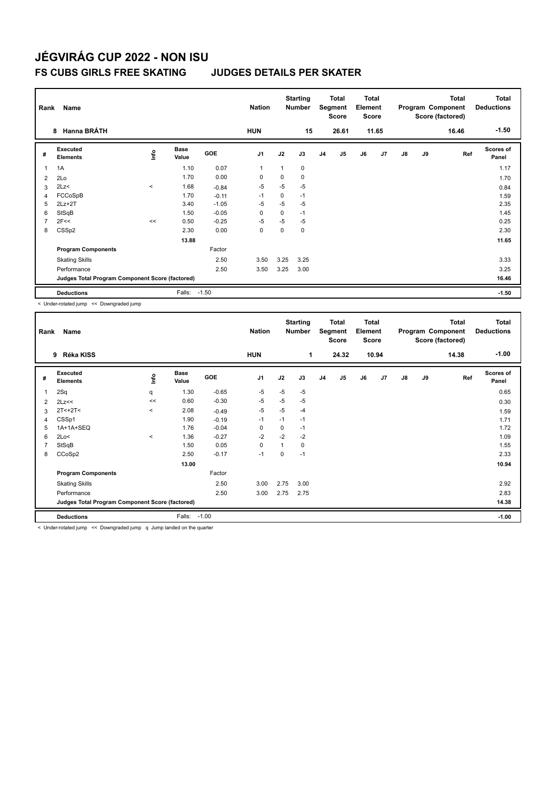### **FS CUBS GIRLS FREE SKATING JUDGES DETAILS PER SKATER**

| Rank           | Name                                            |         |                      |            | <b>Nation</b>  |      | <b>Starting</b><br><b>Number</b> |                | Total<br>Segment<br><b>Score</b> | <b>Total</b><br>Element<br><b>Score</b> |       |    |    | <b>Total</b><br>Program Component<br>Score (factored) | <b>Total</b><br><b>Deductions</b> |
|----------------|-------------------------------------------------|---------|----------------------|------------|----------------|------|----------------------------------|----------------|----------------------------------|-----------------------------------------|-------|----|----|-------------------------------------------------------|-----------------------------------|
|                | <b>Hanna BRÁTH</b><br>8                         |         |                      |            | <b>HUN</b>     |      | 15                               |                | 26.61                            |                                         | 11.65 |    |    | 16.46                                                 | $-1.50$                           |
| #              | Executed<br><b>Elements</b>                     | ١nf٥    | <b>Base</b><br>Value | <b>GOE</b> | J <sub>1</sub> | J2   | J3                               | J <sub>4</sub> | J5                               | J6                                      | J7    | J8 | J9 | Ref                                                   | <b>Scores of</b><br>Panel         |
| 1              | 1A                                              |         | 1.10                 | 0.07       | $\mathbf{1}$   | 1    | $\mathbf 0$                      |                |                                  |                                         |       |    |    |                                                       | 1.17                              |
| 2              | 2Lo                                             |         | 1.70                 | 0.00       | 0              | 0    | $\mathbf 0$                      |                |                                  |                                         |       |    |    |                                                       | 1.70                              |
| 3              | 2Lz<                                            | $\,<\,$ | 1.68                 | $-0.84$    | $-5$           | $-5$ | -5                               |                |                                  |                                         |       |    |    |                                                       | 0.84                              |
| 4              | FCCoSpB                                         |         | 1.70                 | $-0.11$    | $-1$           | 0    | $-1$                             |                |                                  |                                         |       |    |    |                                                       | 1.59                              |
| 5              | $2Lz+2T$                                        |         | 3.40                 | $-1.05$    | -5             | $-5$ | -5                               |                |                                  |                                         |       |    |    |                                                       | 2.35                              |
| 6              | StSqB                                           |         | 1.50                 | $-0.05$    | 0              | 0    | $-1$                             |                |                                  |                                         |       |    |    |                                                       | 1.45                              |
| $\overline{7}$ | 2F<<                                            | <<      | 0.50                 | $-0.25$    | $-5$           | $-5$ | $-5$                             |                |                                  |                                         |       |    |    |                                                       | 0.25                              |
| 8              | CSS <sub>p2</sub>                               |         | 2.30                 | 0.00       | 0              | 0    | $\mathbf 0$                      |                |                                  |                                         |       |    |    |                                                       | 2.30                              |
|                |                                                 |         | 13.88                |            |                |      |                                  |                |                                  |                                         |       |    |    |                                                       | 11.65                             |
|                | <b>Program Components</b>                       |         |                      | Factor     |                |      |                                  |                |                                  |                                         |       |    |    |                                                       |                                   |
|                | <b>Skating Skills</b>                           |         |                      | 2.50       | 3.50           | 3.25 | 3.25                             |                |                                  |                                         |       |    |    |                                                       | 3.33                              |
|                | Performance                                     |         |                      | 2.50       | 3.50           | 3.25 | 3.00                             |                |                                  |                                         |       |    |    |                                                       | 3.25                              |
|                | Judges Total Program Component Score (factored) |         |                      |            |                |      |                                  |                |                                  |                                         |       |    |    |                                                       | 16.46                             |
|                | <b>Deductions</b>                               |         | Falls:               | $-1.50$    |                |      |                                  |                |                                  |                                         |       |    |    |                                                       | $-1.50$                           |

< Under-rotated jump << Downgraded jump

| Rank           | Name                                            |             |                      |         | <b>Nation</b>  |      | <b>Starting</b><br><b>Number</b> |                | Total<br>Segment<br><b>Score</b> | <b>Total</b><br>Element<br>Score |       |               |    | Total<br>Program Component<br>Score (factored) | <b>Total</b><br><b>Deductions</b> |
|----------------|-------------------------------------------------|-------------|----------------------|---------|----------------|------|----------------------------------|----------------|----------------------------------|----------------------------------|-------|---------------|----|------------------------------------------------|-----------------------------------|
|                | Réka KISS<br>9                                  |             |                      |         | <b>HUN</b>     |      | 1                                |                | 24.32                            |                                  | 10.94 |               |    | 14.38                                          | $-1.00$                           |
| #              | Executed<br><b>Elements</b>                     | <u>info</u> | <b>Base</b><br>Value | GOE     | J <sub>1</sub> | J2   | J3                               | J <sub>4</sub> | J5                               | J6                               | J7    | $\mathsf{J}8$ | J9 | Ref                                            | <b>Scores of</b><br>Panel         |
| 1              | 2Sq                                             | q           | 1.30                 | $-0.65$ | -5             | -5   | $-5$                             |                |                                  |                                  |       |               |    |                                                | 0.65                              |
| 2              | 2Lz<<                                           | <<          | 0.60                 | $-0.30$ | -5             | $-5$ | $-5$                             |                |                                  |                                  |       |               |    |                                                | 0.30                              |
| 3              | $2T < +2T <$                                    | $\,<\,$     | 2.08                 | $-0.49$ | -5             | -5   | $-4$                             |                |                                  |                                  |       |               |    |                                                | 1.59                              |
| 4              | CSSp1                                           |             | 1.90                 | $-0.19$ | $-1$           | $-1$ | $-1$                             |                |                                  |                                  |       |               |    |                                                | 1.71                              |
| 5              | 1A+1A+SEQ                                       |             | 1.76                 | $-0.04$ | 0              | 0    | $-1$                             |                |                                  |                                  |       |               |    |                                                | 1.72                              |
| 6              | 2Lo<                                            | $\hat{}$    | 1.36                 | $-0.27$ | $-2$           | $-2$ | $-2$                             |                |                                  |                                  |       |               |    |                                                | 1.09                              |
| $\overline{7}$ | StSqB                                           |             | 1.50                 | 0.05    | 0              | 1    | 0                                |                |                                  |                                  |       |               |    |                                                | 1.55                              |
| 8              | CCoSp2                                          |             | 2.50                 | $-0.17$ | $-1$           | 0    | $-1$                             |                |                                  |                                  |       |               |    |                                                | 2.33                              |
|                |                                                 |             | 13.00                |         |                |      |                                  |                |                                  |                                  |       |               |    |                                                | 10.94                             |
|                | <b>Program Components</b>                       |             |                      | Factor  |                |      |                                  |                |                                  |                                  |       |               |    |                                                |                                   |
|                | <b>Skating Skills</b>                           |             |                      | 2.50    | 3.00           | 2.75 | 3.00                             |                |                                  |                                  |       |               |    |                                                | 2.92                              |
|                | Performance                                     |             |                      | 2.50    | 3.00           | 2.75 | 2.75                             |                |                                  |                                  |       |               |    |                                                | 2.83                              |
|                | Judges Total Program Component Score (factored) |             |                      |         |                |      |                                  |                |                                  |                                  |       |               |    |                                                | 14.38                             |
|                | <b>Deductions</b>                               |             | Falls:               | $-1.00$ |                |      |                                  |                |                                  |                                  |       |               |    |                                                | $-1.00$                           |

< Under-rotated jump << Downgraded jump q Jump landed on the quarter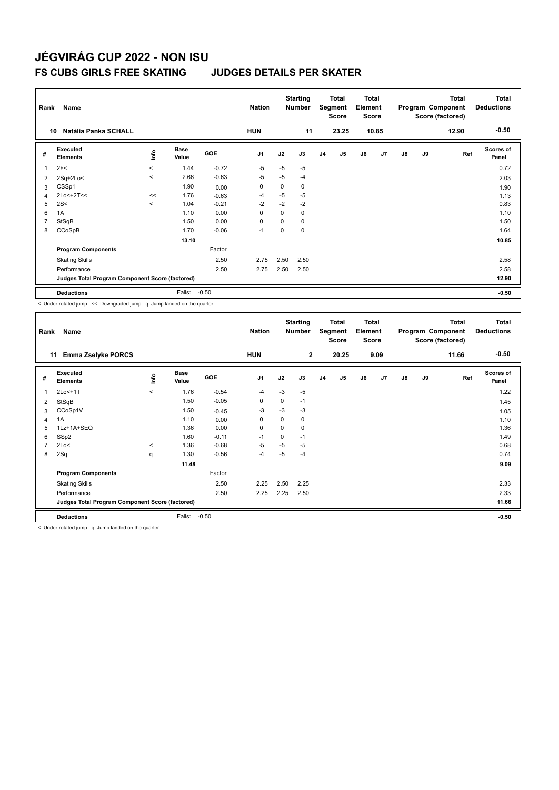### **FS CUBS GIRLS FREE SKATING JUDGES DETAILS PER SKATER**

| Rank | Name                                            |         |                      |         | <b>Nation</b>  |             | <b>Starting</b><br><b>Number</b> |    | <b>Total</b><br>Segment<br><b>Score</b> | <b>Total</b><br>Element<br><b>Score</b> |       |               |    | <b>Total</b><br>Program Component<br>Score (factored) | <b>Total</b><br><b>Deductions</b> |
|------|-------------------------------------------------|---------|----------------------|---------|----------------|-------------|----------------------------------|----|-----------------------------------------|-----------------------------------------|-------|---------------|----|-------------------------------------------------------|-----------------------------------|
|      | Natália Panka SCHALL<br>10                      |         |                      |         | <b>HUN</b>     |             | 11                               |    | 23.25                                   |                                         | 10.85 |               |    | 12.90                                                 | $-0.50$                           |
| #    | Executed<br><b>Elements</b>                     | ١nf٥    | <b>Base</b><br>Value | GOE     | J <sub>1</sub> | J2          | J3                               | J4 | J5                                      | J6                                      | J7    | $\mathsf{J}8$ | J9 | Ref                                                   | <b>Scores of</b><br>Panel         |
| 1    | 2F<                                             | $\prec$ | 1.44                 | $-0.72$ | $-5$           | $-5$        | -5                               |    |                                         |                                         |       |               |    |                                                       | 0.72                              |
| 2    | $2Sq+2Lo<$                                      | $\prec$ | 2.66                 | $-0.63$ | -5             | $-5$        | $-4$                             |    |                                         |                                         |       |               |    |                                                       | 2.03                              |
| 3    | CSSp1                                           |         | 1.90                 | 0.00    | 0              | 0           | 0                                |    |                                         |                                         |       |               |    |                                                       | 1.90                              |
| 4    | $2Lo<+2T<<$                                     | <<      | 1.76                 | $-0.63$ | -4             | $-5$        | $-5$                             |    |                                         |                                         |       |               |    |                                                       | 1.13                              |
| 5    | 2S<                                             | $\prec$ | 1.04                 | $-0.21$ | $-2$           | $-2$        | $-2$                             |    |                                         |                                         |       |               |    |                                                       | 0.83                              |
| 6    | 1A                                              |         | 1.10                 | 0.00    | 0              | $\mathbf 0$ | 0                                |    |                                         |                                         |       |               |    |                                                       | 1.10                              |
| 7    | StSqB                                           |         | 1.50                 | 0.00    | 0              | 0           | 0                                |    |                                         |                                         |       |               |    |                                                       | 1.50                              |
| 8    | CCoSpB                                          |         | 1.70                 | $-0.06$ | $-1$           | 0           | $\Omega$                         |    |                                         |                                         |       |               |    |                                                       | 1.64                              |
|      |                                                 |         | 13.10                |         |                |             |                                  |    |                                         |                                         |       |               |    |                                                       | 10.85                             |
|      | <b>Program Components</b>                       |         |                      | Factor  |                |             |                                  |    |                                         |                                         |       |               |    |                                                       |                                   |
|      | <b>Skating Skills</b>                           |         |                      | 2.50    | 2.75           | 2.50        | 2.50                             |    |                                         |                                         |       |               |    |                                                       | 2.58                              |
|      | Performance                                     |         |                      | 2.50    | 2.75           | 2.50        | 2.50                             |    |                                         |                                         |       |               |    |                                                       | 2.58                              |
|      | Judges Total Program Component Score (factored) |         |                      |         |                |             |                                  |    |                                         |                                         |       |               |    |                                                       | 12.90                             |
|      | <b>Deductions</b>                               |         | Falls:               | $-0.50$ |                |             |                                  |    |                                         |                                         |       |               |    |                                                       | $-0.50$                           |

< Under-rotated jump << Downgraded jump q Jump landed on the quarter

| Rank           | Name                                            |         |                      |         | <b>Nation</b>  |             | <b>Starting</b><br><b>Number</b> |                | Total<br>Segment<br><b>Score</b> | <b>Total</b><br>Element<br><b>Score</b> |      |    |    | <b>Total</b><br>Program Component<br>Score (factored) | <b>Total</b><br><b>Deductions</b> |
|----------------|-------------------------------------------------|---------|----------------------|---------|----------------|-------------|----------------------------------|----------------|----------------------------------|-----------------------------------------|------|----|----|-------------------------------------------------------|-----------------------------------|
|                | <b>Emma Zselyke PORCS</b><br>11                 |         |                      |         | <b>HUN</b>     |             | $\overline{2}$                   |                | 20.25                            |                                         | 9.09 |    |    | 11.66                                                 | $-0.50$                           |
| #              | Executed<br><b>Elements</b>                     | ١nfo    | <b>Base</b><br>Value | GOE     | J <sub>1</sub> | J2          | J3                               | J <sub>4</sub> | J5                               | J6                                      | J7   | J8 | J9 | Ref                                                   | <b>Scores of</b><br>Panel         |
| 1              | 2Lo<+1T                                         | $\prec$ | 1.76                 | $-0.54$ | $-4$           | $-3$        | $-5$                             |                |                                  |                                         |      |    |    |                                                       | 1.22                              |
| 2              | StSqB                                           |         | 1.50                 | $-0.05$ | 0              | 0           | $-1$                             |                |                                  |                                         |      |    |    |                                                       | 1.45                              |
| 3              | CCoSp1V                                         |         | 1.50                 | $-0.45$ | $-3$           | $-3$        | $-3$                             |                |                                  |                                         |      |    |    |                                                       | 1.05                              |
| 4              | 1A                                              |         | 1.10                 | 0.00    | 0              | $\mathbf 0$ | 0                                |                |                                  |                                         |      |    |    |                                                       | 1.10                              |
| 5              | 1Lz+1A+SEQ                                      |         | 1.36                 | 0.00    | $\mathbf 0$    | 0           | 0                                |                |                                  |                                         |      |    |    |                                                       | 1.36                              |
| 6              | SSp2                                            |         | 1.60                 | $-0.11$ | $-1$           | $\Omega$    | $-1$                             |                |                                  |                                         |      |    |    |                                                       | 1.49                              |
| $\overline{7}$ | 2Lo<                                            | $\,<\,$ | 1.36                 | $-0.68$ | $-5$           | $-5$        | -5                               |                |                                  |                                         |      |    |    |                                                       | 0.68                              |
| 8              | 2Sq                                             | q       | 1.30                 | $-0.56$ | -4             | $-5$        | $-4$                             |                |                                  |                                         |      |    |    |                                                       | 0.74                              |
|                |                                                 |         | 11.48                |         |                |             |                                  |                |                                  |                                         |      |    |    |                                                       | 9.09                              |
|                | <b>Program Components</b>                       |         |                      | Factor  |                |             |                                  |                |                                  |                                         |      |    |    |                                                       |                                   |
|                | <b>Skating Skills</b>                           |         |                      | 2.50    | 2.25           | 2.50        | 2.25                             |                |                                  |                                         |      |    |    |                                                       | 2.33                              |
|                | Performance                                     |         |                      | 2.50    | 2.25           | 2.25        | 2.50                             |                |                                  |                                         |      |    |    |                                                       | 2.33                              |
|                | Judges Total Program Component Score (factored) |         |                      |         |                |             |                                  |                |                                  |                                         |      |    |    |                                                       | 11.66                             |
|                | <b>Deductions</b>                               |         | Falls:               | $-0.50$ |                |             |                                  |                |                                  |                                         |      |    |    |                                                       | $-0.50$                           |

< Under-rotated jump q Jump landed on the quarter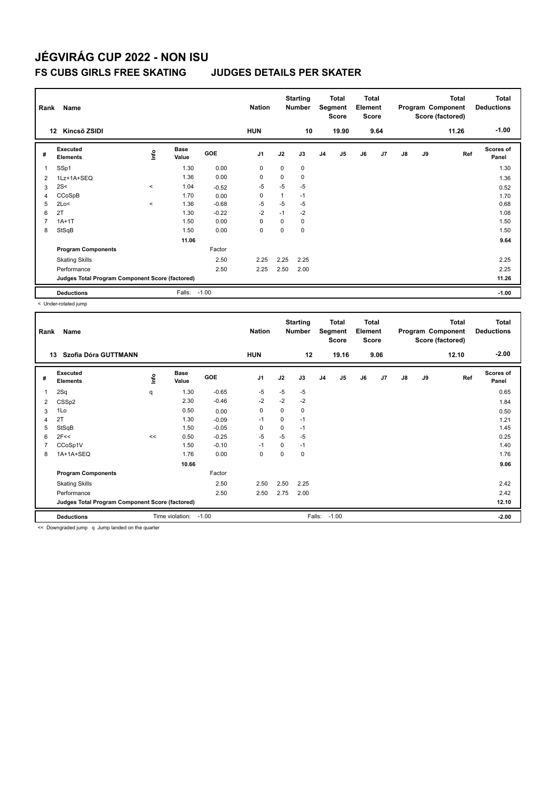## **FS CUBS GIRLS FREE SKATING JUDGES DETAILS PER SKATER**

| Rank | Name                                            |         |                      |            | <b>Nation</b>  |      | <b>Starting</b><br><b>Number</b> |                | Total<br>Segment<br><b>Score</b> | <b>Total</b><br>Element<br><b>Score</b> |                |    |    | Total<br>Program Component<br>Score (factored) | Total<br><b>Deductions</b> |
|------|-------------------------------------------------|---------|----------------------|------------|----------------|------|----------------------------------|----------------|----------------------------------|-----------------------------------------|----------------|----|----|------------------------------------------------|----------------------------|
|      | Kincső ZSIDI<br>12                              |         |                      |            | <b>HUN</b>     |      | 10                               |                | 19.90                            |                                         | 9.64           |    |    | 11.26                                          | $-1.00$                    |
| #    | Executed<br><b>Elements</b>                     | ١nf٥    | <b>Base</b><br>Value | <b>GOE</b> | J <sub>1</sub> | J2   | J3                               | J <sub>4</sub> | J <sub>5</sub>                   | J6                                      | J <sub>7</sub> | J8 | J9 | Ref                                            | <b>Scores of</b><br>Panel  |
| 1    | SSp1                                            |         | 1.30                 | 0.00       | 0              | 0    | 0                                |                |                                  |                                         |                |    |    |                                                | 1.30                       |
| 2    | 1Lz+1A+SEQ                                      |         | 1.36                 | 0.00       | 0              | 0    | 0                                |                |                                  |                                         |                |    |    |                                                | 1.36                       |
| 3    | 2S<                                             | $\prec$ | 1.04                 | $-0.52$    | $-5$           | $-5$ | $-5$                             |                |                                  |                                         |                |    |    |                                                | 0.52                       |
| 4    | CCoSpB                                          |         | 1.70                 | 0.00       | 0              | 1    | $-1$                             |                |                                  |                                         |                |    |    |                                                | 1.70                       |
| 5    | 2Lo<                                            | $\prec$ | 1.36                 | $-0.68$    | $-5$           | $-5$ | $-5$                             |                |                                  |                                         |                |    |    |                                                | 0.68                       |
| 6    | 2T                                              |         | 1.30                 | $-0.22$    | $-2$           | $-1$ | $-2$                             |                |                                  |                                         |                |    |    |                                                | 1.08                       |
| 7    | $1A+1T$                                         |         | 1.50                 | 0.00       | 0              | 0    | 0                                |                |                                  |                                         |                |    |    |                                                | 1.50                       |
| 8    | StSqB                                           |         | 1.50                 | 0.00       | 0              | 0    | 0                                |                |                                  |                                         |                |    |    |                                                | 1.50                       |
|      |                                                 |         | 11.06                |            |                |      |                                  |                |                                  |                                         |                |    |    |                                                | 9.64                       |
|      | <b>Program Components</b>                       |         |                      | Factor     |                |      |                                  |                |                                  |                                         |                |    |    |                                                |                            |
|      | <b>Skating Skills</b>                           |         |                      | 2.50       | 2.25           | 2.25 | 2.25                             |                |                                  |                                         |                |    |    |                                                | 2.25                       |
|      | Performance                                     |         |                      | 2.50       | 2.25           | 2.50 | 2.00                             |                |                                  |                                         |                |    |    |                                                | 2.25                       |
|      | Judges Total Program Component Score (factored) |         |                      |            |                |      |                                  |                |                                  |                                         |                |    |    |                                                | 11.26                      |
|      | <b>Deductions</b>                               |         | Falls:               | $-1.00$    |                |      |                                  |                |                                  |                                         |                |    |    |                                                | $-1.00$                    |

< Under-rotated jump

| Rank           | Name                                            |    |                      |         | <b>Nation</b>  |      | <b>Starting</b><br><b>Number</b> |                | <b>Total</b><br>Segment<br><b>Score</b> | <b>Total</b><br>Element<br><b>Score</b> |      |               |    | Total<br>Program Component<br>Score (factored) | <b>Total</b><br><b>Deductions</b> |
|----------------|-------------------------------------------------|----|----------------------|---------|----------------|------|----------------------------------|----------------|-----------------------------------------|-----------------------------------------|------|---------------|----|------------------------------------------------|-----------------------------------|
| 13             | Szofia Dóra GUTTMANN                            |    |                      |         | <b>HUN</b>     |      | 12                               |                | 19.16                                   |                                         | 9.06 |               |    | 12.10                                          | $-2.00$                           |
| #              | Executed<br><b>Elements</b>                     | ۴  | <b>Base</b><br>Value | GOE     | J <sub>1</sub> | J2   | J3                               | J <sub>4</sub> | J5                                      | J6                                      | J7   | $\mathsf{J}8$ | J9 | Ref                                            | <b>Scores of</b><br>Panel         |
|                | 2Sq                                             | q  | 1.30                 | $-0.65$ | $-5$           | $-5$ | $-5$                             |                |                                         |                                         |      |               |    |                                                | 0.65                              |
| 2              | CSS <sub>p2</sub>                               |    | 2.30                 | $-0.46$ | $-2$           | $-2$ | $-2$                             |                |                                         |                                         |      |               |    |                                                | 1.84                              |
| 3              | 1Lo                                             |    | 0.50                 | 0.00    | 0              | 0    | 0                                |                |                                         |                                         |      |               |    |                                                | 0.50                              |
| 4              | 2T                                              |    | 1.30                 | $-0.09$ | $-1$           | 0    | $-1$                             |                |                                         |                                         |      |               |    |                                                | 1.21                              |
| 5              | StSqB                                           |    | 1.50                 | $-0.05$ | 0              | 0    | $-1$                             |                |                                         |                                         |      |               |    |                                                | 1.45                              |
| 6              | 2F<<                                            | << | 0.50                 | $-0.25$ | $-5$           | $-5$ | $-5$                             |                |                                         |                                         |      |               |    |                                                | 0.25                              |
| $\overline{7}$ | CCoSp1V                                         |    | 1.50                 | $-0.10$ | $-1$           | 0    | $-1$                             |                |                                         |                                         |      |               |    |                                                | 1.40                              |
| 8              | 1A+1A+SEQ                                       |    | 1.76                 | 0.00    | 0              | 0    | 0                                |                |                                         |                                         |      |               |    |                                                | 1.76                              |
|                |                                                 |    | 10.66                |         |                |      |                                  |                |                                         |                                         |      |               |    |                                                | 9.06                              |
|                | <b>Program Components</b>                       |    |                      | Factor  |                |      |                                  |                |                                         |                                         |      |               |    |                                                |                                   |
|                | <b>Skating Skills</b>                           |    |                      | 2.50    | 2.50           | 2.50 | 2.25                             |                |                                         |                                         |      |               |    |                                                | 2.42                              |
|                | Performance                                     |    |                      | 2.50    | 2.50           | 2.75 | 2.00                             |                |                                         |                                         |      |               |    |                                                | 2.42                              |
|                | Judges Total Program Component Score (factored) |    |                      |         |                |      |                                  |                |                                         |                                         |      |               |    |                                                | 12.10                             |
|                | <b>Deductions</b>                               |    | Time violation:      | $-1.00$ |                |      | Falls:                           |                | $-1.00$                                 |                                         |      |               |    |                                                | $-2.00$                           |

<< Downgraded jump q Jump landed on the quarter